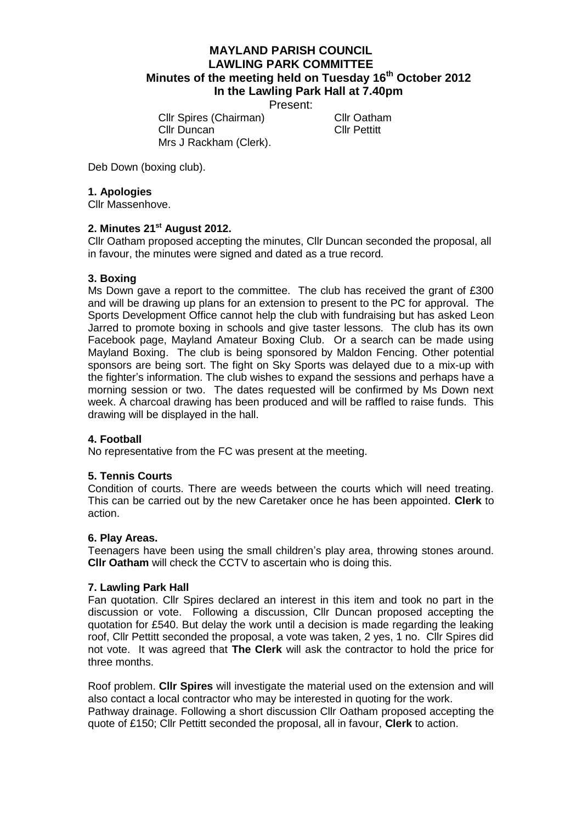# **MAYLAND PARISH COUNCIL LAWLING PARK COMMITTEE Minutes of the meeting held on Tuesday 16th October 2012 In the Lawling Park Hall at 7.40pm**

Present:

Cllr Spires (Chairman) Cllr Oatham Cllr Duncan Cllr Pettitt Mrs J Rackham (Clerk).

Deb Down (boxing club).

## **1. Apologies**

Cllr Massenhove.

## **2. Minutes 21st August 2012.**

Cllr Oatham proposed accepting the minutes, Cllr Duncan seconded the proposal, all in favour, the minutes were signed and dated as a true record.

## **3. Boxing**

Ms Down gave a report to the committee. The club has received the grant of £300 and will be drawing up plans for an extension to present to the PC for approval. The Sports Development Office cannot help the club with fundraising but has asked Leon Jarred to promote boxing in schools and give taster lessons. The club has its own Facebook page, Mayland Amateur Boxing Club. Or a search can be made using Mayland Boxing. The club is being sponsored by Maldon Fencing. Other potential sponsors are being sort. The fight on Sky Sports was delayed due to a mix-up with the fighter's information. The club wishes to expand the sessions and perhaps have a morning session or two. The dates requested will be confirmed by Ms Down next week. A charcoal drawing has been produced and will be raffled to raise funds. This drawing will be displayed in the hall.

#### **4. Football**

No representative from the FC was present at the meeting.

## **5. Tennis Courts**

Condition of courts. There are weeds between the courts which will need treating. This can be carried out by the new Caretaker once he has been appointed. **Clerk** to action.

#### **6. Play Areas.**

Teenagers have been using the small children's play area, throwing stones around. **Cllr Oatham** will check the CCTV to ascertain who is doing this.

#### **7. Lawling Park Hall**

Fan quotation. Cllr Spires declared an interest in this item and took no part in the discussion or vote. Following a discussion, Cllr Duncan proposed accepting the quotation for £540. But delay the work until a decision is made regarding the leaking roof, Cllr Pettitt seconded the proposal, a vote was taken, 2 yes, 1 no. Cllr Spires did not vote. It was agreed that **The Clerk** will ask the contractor to hold the price for three months.

Roof problem. **Cllr Spires** will investigate the material used on the extension and will also contact a local contractor who may be interested in quoting for the work. Pathway drainage. Following a short discussion Cllr Oatham proposed accepting the quote of £150; Cllr Pettitt seconded the proposal, all in favour, **Clerk** to action.